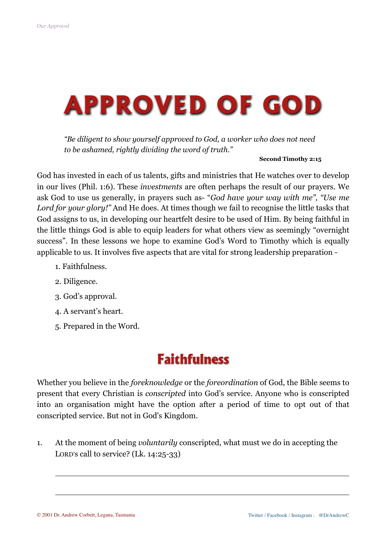# **APPROVED OF GOD**

*"Be diligent to show yourself approved to God, a worker who does not need to be ashamed, rightly dividing the word of truth."*

#### **Second Timothy 2:15**

God has invested in each of us talents, gifts and ministries that He watches over to develop in our lives (Phil. 1:6). These *investments* are often perhaps the result of our prayers. We ask God to use us generally, in prayers such as- "*God have your way with me", "Use me Lord for your glory!"* And He does. At times though we fail to recognise the little tasks that God assigns to us, in developing our heartfelt desire to be used of Him. By being faithful in the little things God is able to equip leaders for what others view as seemingly "overnight success". In these lessons we hope to examine God's Word to Timothy which is equally applicable to us. It involves five aspects that are vital for strong leadership preparation -

- 1. Faithfulness.
- 2. Diligence.
- 3. God's approval.
- 4. A servant's heart.
- 5. Prepared in the Word.

#### **Faithfulness**

Whether you believe in the *foreknowledge* or the *foreordination* of God, the Bible seems to present that every Christian is *conscripted* into God's service. Anyone who is conscripted into an organisation might have the option after a period of time to opt out of that conscripted service. But not in God's Kingdom.

1. At the moment of being *voluntarily* conscripted, what must we do in accepting the LORD's call to service? (Lk. 14:25-33)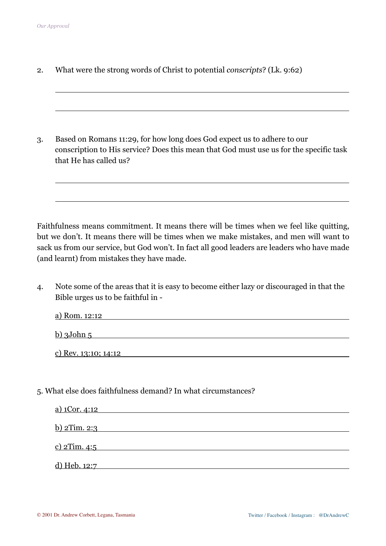$\overline{a}$ 

2. What were the strong words of Christ to potential *conscripts*? (Lk. 9:62)

3. Based on Romans 11:29, for how long does God expect us to adhere to our conscription to His service? Does this mean that God must use us for the specific task that He has called us?

Faithfulness means commitment. It means there will be times when we feel like quitting, but we don't. It means there will be times when we make mistakes, and men will want to sack us from our service, but God won't. In fact all good leaders are leaders who have made (and learnt) from mistakes they have made.

4. Note some of the areas that it is easy to become either lazy or discouraged in that the Bible urges us to be faithful in -

| a) Rom. 12:12             |  |  |
|---------------------------|--|--|
| $\underline{b}$ ) 3John 5 |  |  |
| c) Rev. 13:10; 14:12      |  |  |

5. What else does faithfulness demand? In what circumstances?

| a) 1Cor. 4:12       |  |  |
|---------------------|--|--|
| <u>b) 2Tim. 2:3</u> |  |  |
| <u>c) 2Tim. 4:5</u> |  |  |
| <u>d) Heb. 12:7</u> |  |  |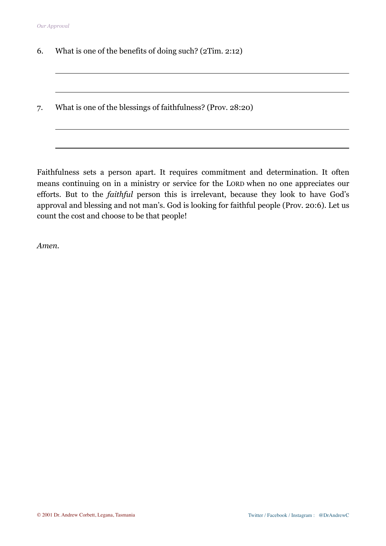$\overline{a}$ 

- 6. What is one of the benefits of doing such? (2Tim. 2:12)
- 7. What is one of the blessings of faithfulness? (Prov. 28:20)

Faithfulness sets a person apart. It requires commitment and determination. It often means continuing on in a ministry or service for the LORD when no one appreciates our efforts. But to the *faithful* person this is irrelevant, because they look to have God's approval and blessing and not man's. God is looking for faithful people (Prov. 20:6). Let us count the cost and choose to be that people!

*Amen.*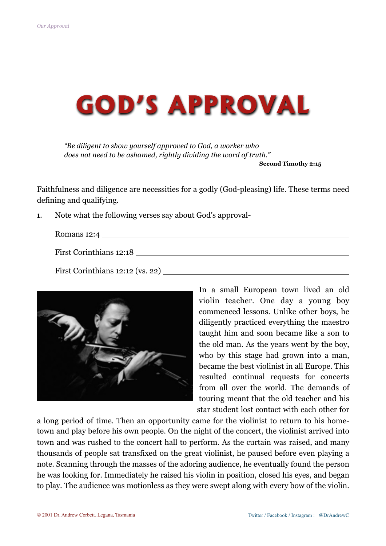

*"Be diligent to show yourself approved to God, a worker who does not need to be ashamed, rightly dividing the word of truth."*

**Second Timothy 2:15** 

Faithfulness and diligence are necessities for a godly (God-pleasing) life. These terms need defining and qualifying.

1. Note what the following verses say about God's approval-

Romans 12:4

First Corinthians 12:18

First Corinthians 12:12 (vs. 22)



In a small European town lived an old violin teacher. One day a young boy commenced lessons. Unlike other boys, he diligently practiced everything the maestro taught him and soon became like a son to the old man. As the years went by the boy, who by this stage had grown into a man, became the best violinist in all Europe. This resulted continual requests for concerts from all over the world. The demands of touring meant that the old teacher and his star student lost contact with each other for

a long period of time. Then an opportunity came for the violinist to return to his hometown and play before his own people. On the night of the concert, the violinist arrived into town and was rushed to the concert hall to perform. As the curtain was raised, and many thousands of people sat transfixed on the great violinist, he paused before even playing a note. Scanning through the masses of the adoring audience, he eventually found the person he was looking for. Immediately he raised his violin in position, closed his eyes, and began to play. The audience was motionless as they were swept along with every bow of the violin.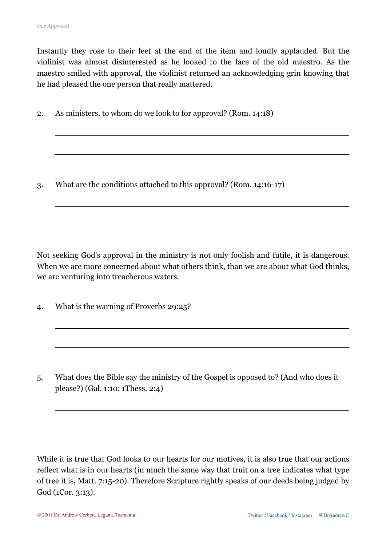$\overline{a}$ 

 $\overline{a}$ 

 $\overline{a}$ 

Instantly they rose to their feet at the end of the item and loudly applauded. But the violinist was almost disinterested as he looked to the face of the old maestro. As the maestro smiled with approval, the violinist returned an acknowledging grin knowing that he had pleased the one person that really mattered.

2. As ministers, to whom do we look to for approval? (Rom. 14:18)

3. What are the conditions attached to this approval? (Rom. 14:16-17)

Not seeking God's approval in the ministry is not only foolish and futile, it is dangerous. When we are more concerned about what others think, than we are about what God thinks, we are venturing into treacherous waters.

4. What is the warning of Proverbs 29:25?

5. What does the Bible say the ministry of the Gospel is opposed to? (And who does it please?) (Gal. 1:10; 1Thess. 2:4)

While it is true that God looks to our hearts for our motives, it is also true that our actions reflect what is in our hearts (in much the same way that fruit on a tree indicates what type of tree it is, Matt. 7:15-20). Therefore Scripture rightly speaks of our deeds being judged by God (1Cor. 3:13).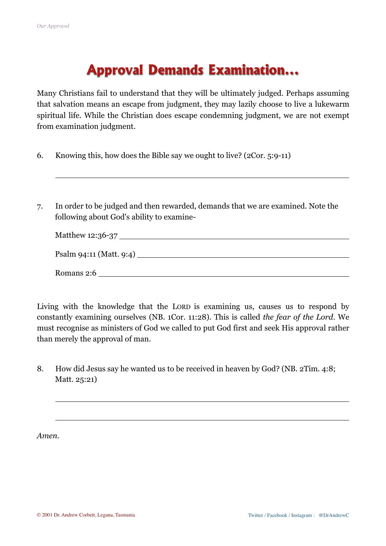## **Approval Demands Examination...**

Many Christians fail to understand that they will be ultimately judged. Perhaps assuming that salvation means an escape from judgment, they may lazily choose to live a lukewarm spiritual life. While the Christian does escape condemning judgment, we are not exempt from examination judgment.

- 6. Knowing this, how does the Bible say we ought to live? (2Cor. 5:9-11)
- 7. In order to be judged and then rewarded, demands that we are examined. Note the following about God's ability to examine-

| Psalm 94:11 (Matt. 9:4) |
|-------------------------|
| Romans 2:6              |

Living with the knowledge that the LORD is examining us, causes us to respond by constantly examining ourselves (NB. 1Cor. 11:28). This is called *the fear of the Lord*. We must recognise as ministers of God we called to put God first and seek His approval rather than merely the approval of man.

8. How did Jesus say he wanted us to be received in heaven by God? (NB. 2Tim. 4:8; Matt. 25:21)

*Amen.*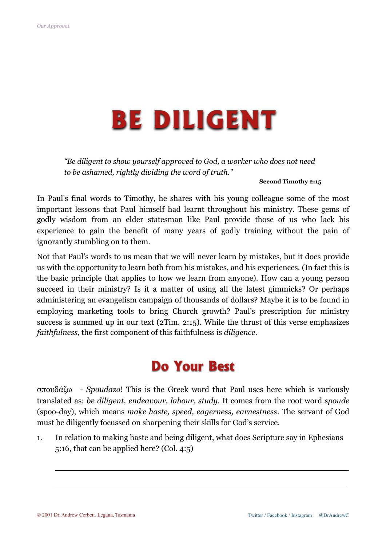## **BE DILIGENT**

*"Be diligent to show yourself approved to God, a worker who does not need to be ashamed, rightly dividing the word of truth."*

**Second Timothy 2:15**

In Paul's final words to Timothy, he shares with his young colleague some of the most important lessons that Paul himself had learnt throughout his ministry. These gems of godly wisdom from an elder statesman like Paul provide those of us who lack his experience to gain the benefit of many years of godly training without the pain of ignorantly stumbling on to them.

Not that Paul's words to us mean that we will never learn by mistakes, but it does provide us with the opportunity to learn both from his mistakes, and his experiences. (In fact this is the basic principle that applies to how we learn from anyone). How can a young person succeed in their ministry? Is it a matter of using all the latest gimmicks? Or perhaps administering an evangelism campaign of thousands of dollars? Maybe it is to be found in employing marketing tools to bring Church growth? Paul's prescription for ministry success is summed up in our text (2Tim. 2:15). While the thrust of this verse emphasizes *faithfulness*, the first component of this faithfulness is *diligence*.

### **Do Your Best**

σπουδάζω - *Spoudazo*! This is the Greek word that Paul uses here which is variously translated as: *be diligent, endeavour, labour, study*. It comes from the root word *spoude* (spoo-day), which means *make haste, speed, eagerness, earnestness*. The servant of God must be diligently focussed on sharpening their skills for God's service.

1. In relation to making haste and being diligent, what does Scripture say in Ephesians 5:16, that can be applied here? (Col. 4:5)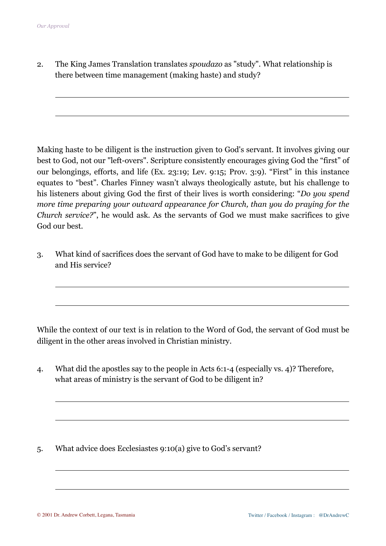$\overline{a}$ 

 $\overline{a}$ 

 $\overline{a}$ 

2. The King James Translation translates *spoudazo* as "study". What relationship is there between time management (making haste) and study?

Making haste to be diligent is the instruction given to God's servant. It involves giving our best to God, not our "left-overs". Scripture consistently encourages giving God the "first" of our belongings, efforts, and life (Ex. 23:19; Lev. 9:15; Prov. 3:9). "First" in this instance equates to "best". Charles Finney wasn't always theologically astute, but his challenge to his listeners about giving God the first of their lives is worth considering: "*Do you spend more time preparing your outward appearance for Church, than you do praying for the Church service?*", he would ask. As the servants of God we must make sacrifices to give God our best.

3. What kind of sacrifices does the servant of God have to make to be diligent for God and His service?

While the context of our text is in relation to the Word of God, the servant of God must be diligent in the other areas involved in Christian ministry.

4. What did the apostles say to the people in Acts 6:1-4 (especially vs. 4)? Therefore, what areas of ministry is the servant of God to be diligent in?

5. What advice does Ecclesiastes 9:10(a) give to God's servant?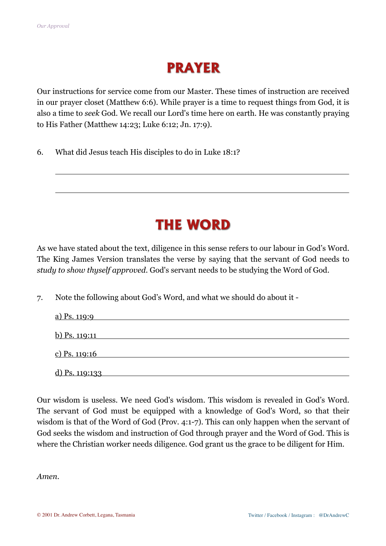### **PRAYER**

Our instructions for service come from our Master. These times of instruction are received in our prayer closet (Matthew 6:6). While prayer is a time to request things from God, it is also a time to *seek* God. We recall our Lord's time here on earth. He was constantly praying to His Father (Matthew 14:23; Luke 6:12; Jn. 17:9).

6. What did Jesus teach His disciples to do in Luke 18:1?

### **THE WORD**

As we have stated about the text, diligence in this sense refers to our labour in God's Word. The King James Version translates the verse by saying that the servant of God needs to *study to show thyself approved*. God's servant needs to be studying the Word of God.

7. Note the following about God's Word, and what we should do about it -

| a) Ps. 119:9   |  |  |
|----------------|--|--|
| b) Ps. 119:11  |  |  |
| c) Ps. 119:16  |  |  |
| d) Ps. 119:133 |  |  |

Our wisdom is useless. We need God's wisdom. This wisdom is revealed in God's Word. The servant of God must be equipped with a knowledge of God's Word, so that their wisdom is that of the Word of God (Prov. 4:1-7). This can only happen when the servant of God seeks the wisdom and instruction of God through prayer and the Word of God. This is where the Christian worker needs diligence. God grant us the grace to be diligent for Him.

*Amen*.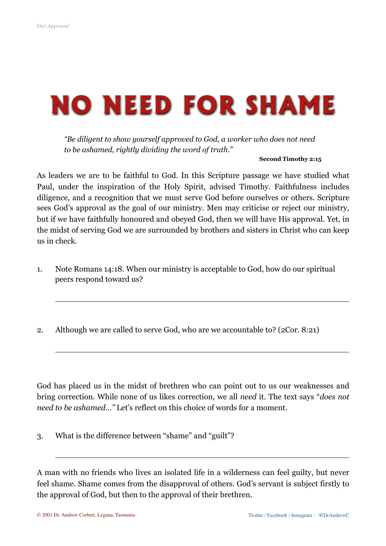$\overline{a}$ 

# **NO NEED FOR SHAME**

*"Be diligent to show yourself approved to God, a worker who does not need to be ashamed, rightly dividing the word of truth."*

#### **Second Timothy 2:15**

As leaders we are to be faithful to God. In this Scripture passage we have studied what Paul, under the inspiration of the Holy Spirit, advised Timothy. Faithfulness includes diligence, and a recognition that we must serve God before ourselves or others. Scripture sees God's approval as the goal of our ministry. Men may criticise or reject our ministry, but if we have faithfully honoured and obeyed God, then we will have His approval. Yet, in the midst of serving God we are surrounded by brothers and sisters in Christ who can keep us in check.

- 1. Note Romans 14:18. When our ministry is acceptable to God, how do our spiritual peers respond toward us?
- 2. Although we are called to serve God, who are we accountable to? (2Cor. 8:21)

God has placed us in the midst of brethren who can point out to us our weaknesses and bring correction. While none of us likes correction, we all *need* it. The text says "*does not need to be ashamed…"* Let's reflect on this choice of words for a moment.

3. What is the difference between "shame" and "guilt"?

A man with no friends who lives an isolated life in a wilderness can feel guilty, but never feel shame. Shame comes from the disapproval of others. God's servant is subject firstly to the approval of God, but then to the approval of their brethren.